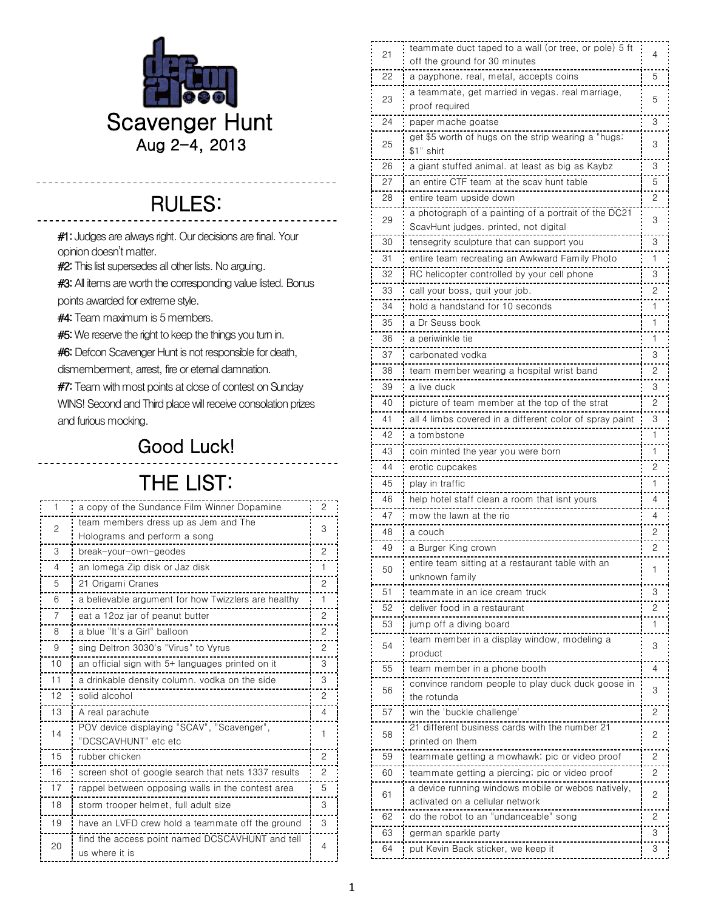

## RULES: j

<u>. . . . . . . . . . . . . .</u>

---------

\_\_\_\_\_\_\_\_\_\_\_\_\_

#1: Judges are always right. Our decisions are final. Your opinion doesn't matter.

**#2:** This list supersedes all other lists. No arguing.

**#3:** All items are worth the corresponding value listed. Bonus

points awarded for extreme style.

<u>. . . . . . . . . .</u>

------------

#4:Team maximum is 5 members.

**#5:** We reserve the right to keep the things you turn in.

**#6:** Defcon Scavenger Hunt is not responsible for death,

dismemberment, arrest, fire or eternal damnation.

**#7:** Team with most points at close of contest on Sunday

WINS! Second and Third place will receive consolation prizes and furious mocking.

## Good Luck!

## THE LIST:

| a copy of the Sundance Film Winner Dopamine<br>1          |                |
|-----------------------------------------------------------|----------------|
|                                                           | 2              |
| team members dress up as Jem and The<br>2                 | 3              |
| Holograms and perform a song                              |                |
| 3<br>break-your-own-geodes                                | 2              |
| an lomega Zip disk or Jaz disk<br>4                       | 1              |
| 21 Origami Cranes<br>5                                    | 2              |
| a believable argument for how Twizzlers are healthy<br>6  | 1              |
| 7<br>eat a 12oz jar of peanut butter                      | 2              |
| a blue "It's a Girl" balloon<br>8                         | 2              |
| sing Deltron 3030's "Virus" to Vyrus<br>9                 | $\overline{c}$ |
| 10<br>an official sign with 5+ languages printed on it    | 3              |
| 11<br>a drinkable density column. vodka on the side       | 3              |
| 12<br>solid alcohol                                       | $\overline{c}$ |
| 13<br>A real parachute                                    | 4              |
| POV device displaying "SCAV", "Scavenger",<br>14          | 1              |
| "DCSCAVHUNT" etc etc                                      |                |
| 15<br>rubber chicken                                      | $\mathcal{P}$  |
| 16<br>screen shot of google search that nets 1337 results | 2              |
| 17<br>rappel between opposing walls in the contest area   | 5              |
| 18<br>storm trooper helmet, full adult size               | 3              |
| 19<br>have an LVFD crew hold a teammate off the ground    | 3              |
| find the access point named DCSCAVHUNT and tell           | 4              |
| 20                                                        |                |

| off the ground for 30 minutes<br>22<br>a payphone. real, metal, accepts coins<br>5<br>a teammate, get married in vegas. real marriage,<br>23<br>5<br>proof required<br>24<br>3<br>paper mache goatse<br>get \$5 worth of hugs on the strip wearing a "hugs:<br>25<br>3<br>\$1" shirt<br>3<br>26<br>a giant stuffed animal. at least as big as Kaybz<br>27<br>an entire CTF team at the scav hunt table<br>5<br>28<br>2<br>entire team upside down<br>a photograph of a painting of a portrait of the DC21<br>3<br>29<br>ScavHunt judges. printed, not digital<br>30<br>tensegrity sculpture that can support you<br>3<br>31<br>entire team recreating an Awkward Family Photo<br>1<br>.<br>32<br>3<br>RC helicopter controlled by your cell phone<br>33<br>call your boss, quit your job.<br>2<br>34<br>hold a handstand for 10 seconds<br>1<br>35<br>a Dr Seuss book<br>1<br>36<br>a periwinkle tie<br>1<br>37<br>carbonated vodka<br>3<br>38<br>2<br>team member wearing a hospital wrist band<br>39<br>a live duck<br>3<br>40<br>picture of team member at the top of the strat<br>2<br>41<br>3<br>all 4 limbs covered in a different color of spray paint<br>42<br>1<br>a tombstone<br>43<br>coin minted the year you were born<br>1<br>44<br>2<br>erotic cupcakes<br>45<br>1<br>play in traffic<br>46<br>help hotel staff clean a room that isnt vours<br>4<br>47<br>mow the lawn at the rio<br>4<br>48<br>2<br>a couch<br>49<br>a Burger King crown<br>2<br>entire team sitting at a restaurant table with an<br>50<br>1<br>unknown family<br>51<br>teammate in an ice cream truck<br>З<br>52<br>deliver food in a restaurant<br>2<br>53<br>1<br>jump off a diving board<br>team member in a display window, modeling a<br>3<br>54<br>product<br>55<br>team member in a phone booth<br>4<br>convince random people to play duck duck goose in<br>56<br>3<br>the rotunda<br>win the 'buckle challenge'<br>57<br>2<br>21 different business cards with the number 21<br>2<br>58<br>printed on them<br>59<br>2<br>teammate getting a mowhawk; pic or video proof<br>60<br>teammate getting a piercing; pic or video proof<br>2<br>a device running windows mobile or webos natively,<br>61<br>2<br>activated on a cellular network<br>do the robot to an "undanceable" song<br>62<br>2<br>63<br>3<br>german sparkle party<br>3<br>put Kevin Back sticker, we keep it<br>64 | 21 | teammate duct taped to a wall (or tree, or pole) 5 ft | 4 |
|-------------------------------------------------------------------------------------------------------------------------------------------------------------------------------------------------------------------------------------------------------------------------------------------------------------------------------------------------------------------------------------------------------------------------------------------------------------------------------------------------------------------------------------------------------------------------------------------------------------------------------------------------------------------------------------------------------------------------------------------------------------------------------------------------------------------------------------------------------------------------------------------------------------------------------------------------------------------------------------------------------------------------------------------------------------------------------------------------------------------------------------------------------------------------------------------------------------------------------------------------------------------------------------------------------------------------------------------------------------------------------------------------------------------------------------------------------------------------------------------------------------------------------------------------------------------------------------------------------------------------------------------------------------------------------------------------------------------------------------------------------------------------------------------------------------------------------------------------------------------------------------------------------------------------------------------------------------------------------------------------------------------------------------------------------------------------------------------------------------------------------------------------------------------------------------------------------------------------------------------------------------------------------------------------------------------------------------------------------------------------------|----|-------------------------------------------------------|---|
|                                                                                                                                                                                                                                                                                                                                                                                                                                                                                                                                                                                                                                                                                                                                                                                                                                                                                                                                                                                                                                                                                                                                                                                                                                                                                                                                                                                                                                                                                                                                                                                                                                                                                                                                                                                                                                                                                                                                                                                                                                                                                                                                                                                                                                                                                                                                                                               |    |                                                       |   |
|                                                                                                                                                                                                                                                                                                                                                                                                                                                                                                                                                                                                                                                                                                                                                                                                                                                                                                                                                                                                                                                                                                                                                                                                                                                                                                                                                                                                                                                                                                                                                                                                                                                                                                                                                                                                                                                                                                                                                                                                                                                                                                                                                                                                                                                                                                                                                                               |    |                                                       |   |
|                                                                                                                                                                                                                                                                                                                                                                                                                                                                                                                                                                                                                                                                                                                                                                                                                                                                                                                                                                                                                                                                                                                                                                                                                                                                                                                                                                                                                                                                                                                                                                                                                                                                                                                                                                                                                                                                                                                                                                                                                                                                                                                                                                                                                                                                                                                                                                               |    |                                                       |   |
|                                                                                                                                                                                                                                                                                                                                                                                                                                                                                                                                                                                                                                                                                                                                                                                                                                                                                                                                                                                                                                                                                                                                                                                                                                                                                                                                                                                                                                                                                                                                                                                                                                                                                                                                                                                                                                                                                                                                                                                                                                                                                                                                                                                                                                                                                                                                                                               |    |                                                       |   |
|                                                                                                                                                                                                                                                                                                                                                                                                                                                                                                                                                                                                                                                                                                                                                                                                                                                                                                                                                                                                                                                                                                                                                                                                                                                                                                                                                                                                                                                                                                                                                                                                                                                                                                                                                                                                                                                                                                                                                                                                                                                                                                                                                                                                                                                                                                                                                                               |    |                                                       |   |
|                                                                                                                                                                                                                                                                                                                                                                                                                                                                                                                                                                                                                                                                                                                                                                                                                                                                                                                                                                                                                                                                                                                                                                                                                                                                                                                                                                                                                                                                                                                                                                                                                                                                                                                                                                                                                                                                                                                                                                                                                                                                                                                                                                                                                                                                                                                                                                               |    |                                                       |   |
|                                                                                                                                                                                                                                                                                                                                                                                                                                                                                                                                                                                                                                                                                                                                                                                                                                                                                                                                                                                                                                                                                                                                                                                                                                                                                                                                                                                                                                                                                                                                                                                                                                                                                                                                                                                                                                                                                                                                                                                                                                                                                                                                                                                                                                                                                                                                                                               |    |                                                       |   |
|                                                                                                                                                                                                                                                                                                                                                                                                                                                                                                                                                                                                                                                                                                                                                                                                                                                                                                                                                                                                                                                                                                                                                                                                                                                                                                                                                                                                                                                                                                                                                                                                                                                                                                                                                                                                                                                                                                                                                                                                                                                                                                                                                                                                                                                                                                                                                                               |    |                                                       |   |
|                                                                                                                                                                                                                                                                                                                                                                                                                                                                                                                                                                                                                                                                                                                                                                                                                                                                                                                                                                                                                                                                                                                                                                                                                                                                                                                                                                                                                                                                                                                                                                                                                                                                                                                                                                                                                                                                                                                                                                                                                                                                                                                                                                                                                                                                                                                                                                               |    |                                                       |   |
|                                                                                                                                                                                                                                                                                                                                                                                                                                                                                                                                                                                                                                                                                                                                                                                                                                                                                                                                                                                                                                                                                                                                                                                                                                                                                                                                                                                                                                                                                                                                                                                                                                                                                                                                                                                                                                                                                                                                                                                                                                                                                                                                                                                                                                                                                                                                                                               |    |                                                       |   |
|                                                                                                                                                                                                                                                                                                                                                                                                                                                                                                                                                                                                                                                                                                                                                                                                                                                                                                                                                                                                                                                                                                                                                                                                                                                                                                                                                                                                                                                                                                                                                                                                                                                                                                                                                                                                                                                                                                                                                                                                                                                                                                                                                                                                                                                                                                                                                                               |    |                                                       |   |
|                                                                                                                                                                                                                                                                                                                                                                                                                                                                                                                                                                                                                                                                                                                                                                                                                                                                                                                                                                                                                                                                                                                                                                                                                                                                                                                                                                                                                                                                                                                                                                                                                                                                                                                                                                                                                                                                                                                                                                                                                                                                                                                                                                                                                                                                                                                                                                               |    |                                                       |   |
|                                                                                                                                                                                                                                                                                                                                                                                                                                                                                                                                                                                                                                                                                                                                                                                                                                                                                                                                                                                                                                                                                                                                                                                                                                                                                                                                                                                                                                                                                                                                                                                                                                                                                                                                                                                                                                                                                                                                                                                                                                                                                                                                                                                                                                                                                                                                                                               |    |                                                       |   |
|                                                                                                                                                                                                                                                                                                                                                                                                                                                                                                                                                                                                                                                                                                                                                                                                                                                                                                                                                                                                                                                                                                                                                                                                                                                                                                                                                                                                                                                                                                                                                                                                                                                                                                                                                                                                                                                                                                                                                                                                                                                                                                                                                                                                                                                                                                                                                                               |    |                                                       |   |
|                                                                                                                                                                                                                                                                                                                                                                                                                                                                                                                                                                                                                                                                                                                                                                                                                                                                                                                                                                                                                                                                                                                                                                                                                                                                                                                                                                                                                                                                                                                                                                                                                                                                                                                                                                                                                                                                                                                                                                                                                                                                                                                                                                                                                                                                                                                                                                               |    |                                                       |   |
|                                                                                                                                                                                                                                                                                                                                                                                                                                                                                                                                                                                                                                                                                                                                                                                                                                                                                                                                                                                                                                                                                                                                                                                                                                                                                                                                                                                                                                                                                                                                                                                                                                                                                                                                                                                                                                                                                                                                                                                                                                                                                                                                                                                                                                                                                                                                                                               |    |                                                       |   |
|                                                                                                                                                                                                                                                                                                                                                                                                                                                                                                                                                                                                                                                                                                                                                                                                                                                                                                                                                                                                                                                                                                                                                                                                                                                                                                                                                                                                                                                                                                                                                                                                                                                                                                                                                                                                                                                                                                                                                                                                                                                                                                                                                                                                                                                                                                                                                                               |    |                                                       |   |
|                                                                                                                                                                                                                                                                                                                                                                                                                                                                                                                                                                                                                                                                                                                                                                                                                                                                                                                                                                                                                                                                                                                                                                                                                                                                                                                                                                                                                                                                                                                                                                                                                                                                                                                                                                                                                                                                                                                                                                                                                                                                                                                                                                                                                                                                                                                                                                               |    |                                                       |   |
|                                                                                                                                                                                                                                                                                                                                                                                                                                                                                                                                                                                                                                                                                                                                                                                                                                                                                                                                                                                                                                                                                                                                                                                                                                                                                                                                                                                                                                                                                                                                                                                                                                                                                                                                                                                                                                                                                                                                                                                                                                                                                                                                                                                                                                                                                                                                                                               |    |                                                       |   |
|                                                                                                                                                                                                                                                                                                                                                                                                                                                                                                                                                                                                                                                                                                                                                                                                                                                                                                                                                                                                                                                                                                                                                                                                                                                                                                                                                                                                                                                                                                                                                                                                                                                                                                                                                                                                                                                                                                                                                                                                                                                                                                                                                                                                                                                                                                                                                                               |    |                                                       |   |
|                                                                                                                                                                                                                                                                                                                                                                                                                                                                                                                                                                                                                                                                                                                                                                                                                                                                                                                                                                                                                                                                                                                                                                                                                                                                                                                                                                                                                                                                                                                                                                                                                                                                                                                                                                                                                                                                                                                                                                                                                                                                                                                                                                                                                                                                                                                                                                               |    |                                                       |   |
|                                                                                                                                                                                                                                                                                                                                                                                                                                                                                                                                                                                                                                                                                                                                                                                                                                                                                                                                                                                                                                                                                                                                                                                                                                                                                                                                                                                                                                                                                                                                                                                                                                                                                                                                                                                                                                                                                                                                                                                                                                                                                                                                                                                                                                                                                                                                                                               |    |                                                       |   |
|                                                                                                                                                                                                                                                                                                                                                                                                                                                                                                                                                                                                                                                                                                                                                                                                                                                                                                                                                                                                                                                                                                                                                                                                                                                                                                                                                                                                                                                                                                                                                                                                                                                                                                                                                                                                                                                                                                                                                                                                                                                                                                                                                                                                                                                                                                                                                                               |    |                                                       |   |
|                                                                                                                                                                                                                                                                                                                                                                                                                                                                                                                                                                                                                                                                                                                                                                                                                                                                                                                                                                                                                                                                                                                                                                                                                                                                                                                                                                                                                                                                                                                                                                                                                                                                                                                                                                                                                                                                                                                                                                                                                                                                                                                                                                                                                                                                                                                                                                               |    |                                                       |   |
|                                                                                                                                                                                                                                                                                                                                                                                                                                                                                                                                                                                                                                                                                                                                                                                                                                                                                                                                                                                                                                                                                                                                                                                                                                                                                                                                                                                                                                                                                                                                                                                                                                                                                                                                                                                                                                                                                                                                                                                                                                                                                                                                                                                                                                                                                                                                                                               |    |                                                       |   |
|                                                                                                                                                                                                                                                                                                                                                                                                                                                                                                                                                                                                                                                                                                                                                                                                                                                                                                                                                                                                                                                                                                                                                                                                                                                                                                                                                                                                                                                                                                                                                                                                                                                                                                                                                                                                                                                                                                                                                                                                                                                                                                                                                                                                                                                                                                                                                                               |    |                                                       |   |
|                                                                                                                                                                                                                                                                                                                                                                                                                                                                                                                                                                                                                                                                                                                                                                                                                                                                                                                                                                                                                                                                                                                                                                                                                                                                                                                                                                                                                                                                                                                                                                                                                                                                                                                                                                                                                                                                                                                                                                                                                                                                                                                                                                                                                                                                                                                                                                               |    |                                                       |   |
|                                                                                                                                                                                                                                                                                                                                                                                                                                                                                                                                                                                                                                                                                                                                                                                                                                                                                                                                                                                                                                                                                                                                                                                                                                                                                                                                                                                                                                                                                                                                                                                                                                                                                                                                                                                                                                                                                                                                                                                                                                                                                                                                                                                                                                                                                                                                                                               |    |                                                       |   |
|                                                                                                                                                                                                                                                                                                                                                                                                                                                                                                                                                                                                                                                                                                                                                                                                                                                                                                                                                                                                                                                                                                                                                                                                                                                                                                                                                                                                                                                                                                                                                                                                                                                                                                                                                                                                                                                                                                                                                                                                                                                                                                                                                                                                                                                                                                                                                                               |    |                                                       |   |
|                                                                                                                                                                                                                                                                                                                                                                                                                                                                                                                                                                                                                                                                                                                                                                                                                                                                                                                                                                                                                                                                                                                                                                                                                                                                                                                                                                                                                                                                                                                                                                                                                                                                                                                                                                                                                                                                                                                                                                                                                                                                                                                                                                                                                                                                                                                                                                               |    |                                                       |   |
|                                                                                                                                                                                                                                                                                                                                                                                                                                                                                                                                                                                                                                                                                                                                                                                                                                                                                                                                                                                                                                                                                                                                                                                                                                                                                                                                                                                                                                                                                                                                                                                                                                                                                                                                                                                                                                                                                                                                                                                                                                                                                                                                                                                                                                                                                                                                                                               |    |                                                       |   |
|                                                                                                                                                                                                                                                                                                                                                                                                                                                                                                                                                                                                                                                                                                                                                                                                                                                                                                                                                                                                                                                                                                                                                                                                                                                                                                                                                                                                                                                                                                                                                                                                                                                                                                                                                                                                                                                                                                                                                                                                                                                                                                                                                                                                                                                                                                                                                                               |    |                                                       |   |
|                                                                                                                                                                                                                                                                                                                                                                                                                                                                                                                                                                                                                                                                                                                                                                                                                                                                                                                                                                                                                                                                                                                                                                                                                                                                                                                                                                                                                                                                                                                                                                                                                                                                                                                                                                                                                                                                                                                                                                                                                                                                                                                                                                                                                                                                                                                                                                               |    |                                                       |   |
|                                                                                                                                                                                                                                                                                                                                                                                                                                                                                                                                                                                                                                                                                                                                                                                                                                                                                                                                                                                                                                                                                                                                                                                                                                                                                                                                                                                                                                                                                                                                                                                                                                                                                                                                                                                                                                                                                                                                                                                                                                                                                                                                                                                                                                                                                                                                                                               |    |                                                       |   |
|                                                                                                                                                                                                                                                                                                                                                                                                                                                                                                                                                                                                                                                                                                                                                                                                                                                                                                                                                                                                                                                                                                                                                                                                                                                                                                                                                                                                                                                                                                                                                                                                                                                                                                                                                                                                                                                                                                                                                                                                                                                                                                                                                                                                                                                                                                                                                                               |    |                                                       |   |
|                                                                                                                                                                                                                                                                                                                                                                                                                                                                                                                                                                                                                                                                                                                                                                                                                                                                                                                                                                                                                                                                                                                                                                                                                                                                                                                                                                                                                                                                                                                                                                                                                                                                                                                                                                                                                                                                                                                                                                                                                                                                                                                                                                                                                                                                                                                                                                               |    |                                                       |   |
|                                                                                                                                                                                                                                                                                                                                                                                                                                                                                                                                                                                                                                                                                                                                                                                                                                                                                                                                                                                                                                                                                                                                                                                                                                                                                                                                                                                                                                                                                                                                                                                                                                                                                                                                                                                                                                                                                                                                                                                                                                                                                                                                                                                                                                                                                                                                                                               |    |                                                       |   |
|                                                                                                                                                                                                                                                                                                                                                                                                                                                                                                                                                                                                                                                                                                                                                                                                                                                                                                                                                                                                                                                                                                                                                                                                                                                                                                                                                                                                                                                                                                                                                                                                                                                                                                                                                                                                                                                                                                                                                                                                                                                                                                                                                                                                                                                                                                                                                                               |    |                                                       |   |
|                                                                                                                                                                                                                                                                                                                                                                                                                                                                                                                                                                                                                                                                                                                                                                                                                                                                                                                                                                                                                                                                                                                                                                                                                                                                                                                                                                                                                                                                                                                                                                                                                                                                                                                                                                                                                                                                                                                                                                                                                                                                                                                                                                                                                                                                                                                                                                               |    |                                                       |   |
|                                                                                                                                                                                                                                                                                                                                                                                                                                                                                                                                                                                                                                                                                                                                                                                                                                                                                                                                                                                                                                                                                                                                                                                                                                                                                                                                                                                                                                                                                                                                                                                                                                                                                                                                                                                                                                                                                                                                                                                                                                                                                                                                                                                                                                                                                                                                                                               |    |                                                       |   |
|                                                                                                                                                                                                                                                                                                                                                                                                                                                                                                                                                                                                                                                                                                                                                                                                                                                                                                                                                                                                                                                                                                                                                                                                                                                                                                                                                                                                                                                                                                                                                                                                                                                                                                                                                                                                                                                                                                                                                                                                                                                                                                                                                                                                                                                                                                                                                                               |    |                                                       |   |
|                                                                                                                                                                                                                                                                                                                                                                                                                                                                                                                                                                                                                                                                                                                                                                                                                                                                                                                                                                                                                                                                                                                                                                                                                                                                                                                                                                                                                                                                                                                                                                                                                                                                                                                                                                                                                                                                                                                                                                                                                                                                                                                                                                                                                                                                                                                                                                               |    |                                                       |   |
|                                                                                                                                                                                                                                                                                                                                                                                                                                                                                                                                                                                                                                                                                                                                                                                                                                                                                                                                                                                                                                                                                                                                                                                                                                                                                                                                                                                                                                                                                                                                                                                                                                                                                                                                                                                                                                                                                                                                                                                                                                                                                                                                                                                                                                                                                                                                                                               |    |                                                       |   |
|                                                                                                                                                                                                                                                                                                                                                                                                                                                                                                                                                                                                                                                                                                                                                                                                                                                                                                                                                                                                                                                                                                                                                                                                                                                                                                                                                                                                                                                                                                                                                                                                                                                                                                                                                                                                                                                                                                                                                                                                                                                                                                                                                                                                                                                                                                                                                                               |    |                                                       |   |
|                                                                                                                                                                                                                                                                                                                                                                                                                                                                                                                                                                                                                                                                                                                                                                                                                                                                                                                                                                                                                                                                                                                                                                                                                                                                                                                                                                                                                                                                                                                                                                                                                                                                                                                                                                                                                                                                                                                                                                                                                                                                                                                                                                                                                                                                                                                                                                               |    |                                                       |   |
|                                                                                                                                                                                                                                                                                                                                                                                                                                                                                                                                                                                                                                                                                                                                                                                                                                                                                                                                                                                                                                                                                                                                                                                                                                                                                                                                                                                                                                                                                                                                                                                                                                                                                                                                                                                                                                                                                                                                                                                                                                                                                                                                                                                                                                                                                                                                                                               |    |                                                       |   |
|                                                                                                                                                                                                                                                                                                                                                                                                                                                                                                                                                                                                                                                                                                                                                                                                                                                                                                                                                                                                                                                                                                                                                                                                                                                                                                                                                                                                                                                                                                                                                                                                                                                                                                                                                                                                                                                                                                                                                                                                                                                                                                                                                                                                                                                                                                                                                                               |    |                                                       |   |
|                                                                                                                                                                                                                                                                                                                                                                                                                                                                                                                                                                                                                                                                                                                                                                                                                                                                                                                                                                                                                                                                                                                                                                                                                                                                                                                                                                                                                                                                                                                                                                                                                                                                                                                                                                                                                                                                                                                                                                                                                                                                                                                                                                                                                                                                                                                                                                               |    |                                                       |   |
|                                                                                                                                                                                                                                                                                                                                                                                                                                                                                                                                                                                                                                                                                                                                                                                                                                                                                                                                                                                                                                                                                                                                                                                                                                                                                                                                                                                                                                                                                                                                                                                                                                                                                                                                                                                                                                                                                                                                                                                                                                                                                                                                                                                                                                                                                                                                                                               |    |                                                       |   |
|                                                                                                                                                                                                                                                                                                                                                                                                                                                                                                                                                                                                                                                                                                                                                                                                                                                                                                                                                                                                                                                                                                                                                                                                                                                                                                                                                                                                                                                                                                                                                                                                                                                                                                                                                                                                                                                                                                                                                                                                                                                                                                                                                                                                                                                                                                                                                                               |    |                                                       |   |
|                                                                                                                                                                                                                                                                                                                                                                                                                                                                                                                                                                                                                                                                                                                                                                                                                                                                                                                                                                                                                                                                                                                                                                                                                                                                                                                                                                                                                                                                                                                                                                                                                                                                                                                                                                                                                                                                                                                                                                                                                                                                                                                                                                                                                                                                                                                                                                               |    |                                                       |   |
|                                                                                                                                                                                                                                                                                                                                                                                                                                                                                                                                                                                                                                                                                                                                                                                                                                                                                                                                                                                                                                                                                                                                                                                                                                                                                                                                                                                                                                                                                                                                                                                                                                                                                                                                                                                                                                                                                                                                                                                                                                                                                                                                                                                                                                                                                                                                                                               |    |                                                       |   |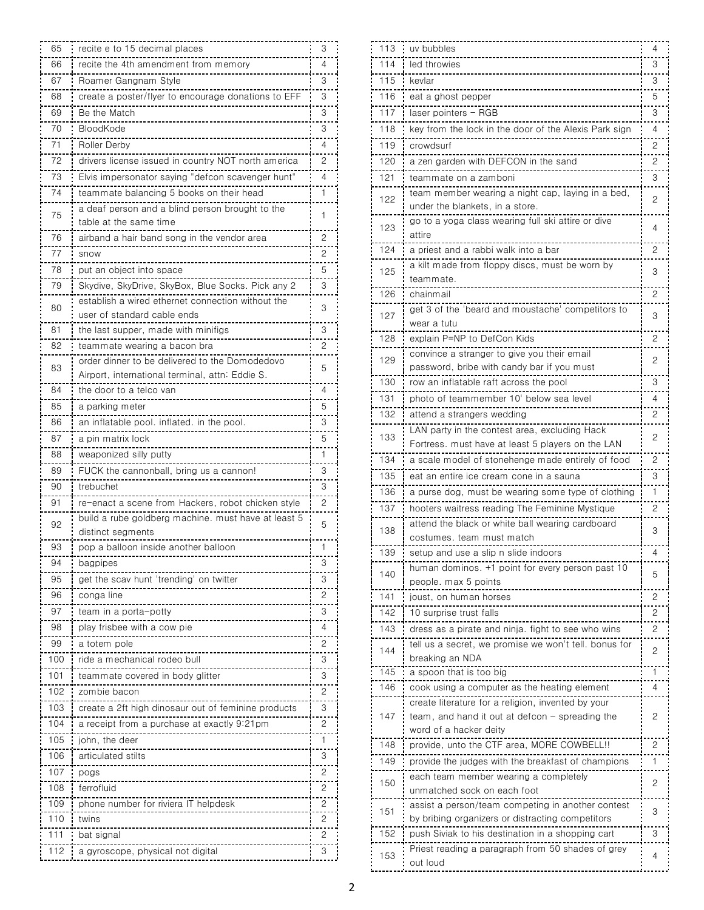| 65  | recite e to 15 decimal places                                                                     | 3              |
|-----|---------------------------------------------------------------------------------------------------|----------------|
| 66  | recite the 4th amendment from memory                                                              | 4              |
| 67  | Roamer Gangnam Style                                                                              | 3              |
| 68  | create a poster/flyer to encourage donations to EFF                                               | 3              |
| 69  | Be the Match                                                                                      | 3              |
| 70  | BloodKode                                                                                         | 3              |
| 71  | Roller Derby                                                                                      | 4              |
| 72  | drivers license issued in country NOT north america                                               | 2              |
| 73  | Elvis impersonator saying "defcon scavenger hunt"                                                 | 4              |
| 74  | teammate balancing 5 books on their head                                                          | 1              |
| 75  | a deat person and a blind person brought to the                                                   | 1              |
|     | table at the same time                                                                            |                |
| 76  | airband a hair band song in the vendor area                                                       | 2              |
| 77  | snow                                                                                              | 2              |
| 78  | put an object into space                                                                          | 5              |
| 79  | Skydive, SkyDrive, SkyBox, Blue Socks. Pick any 2                                                 | 3              |
| 80  | establish a wired ethernet connection without the                                                 | 3              |
|     | user of standard cable ends                                                                       |                |
| 81  | the last supper, made with minifigs                                                               | 3              |
| 82  | teammate wearing a bacon bra                                                                      | 2              |
| 83  | order dinner to be delivered to the Domodedovo<br>Airport, international terminal, attn: Eddie S. | 5              |
| 84  | the door to a telco van                                                                           | 4              |
| 85  | a parking meter                                                                                   | 5              |
| 86  | an inflatable pool. inflated. in the pool.                                                        | 3              |
| 87  | a pin matrix lock                                                                                 | 5              |
| 88  | weaponized silly putty                                                                            | 1              |
| 89  | FUCK the cannonball, bring us a cannon                                                            | 3              |
| 90  | trebuchet                                                                                         | 3              |
| 91  | re-enact a scene from Hackers, robot chicken style                                                | 2              |
|     | build a rube goldberg machine. must have at least 5                                               |                |
| 92  | distinct segments                                                                                 | 5              |
| 93  | pop a balloon inside another balloon                                                              | 1              |
| 94  | bagpipes                                                                                          | З              |
| 95  | get the scav hunt 'trending' on twitter                                                           | 3              |
| 96  | conga line                                                                                        | 2              |
| 97  | team in a porta-pottv                                                                             | 3              |
| 98  | play trisbee with a cow pie                                                                       | 4              |
| 99  | a totem pole                                                                                      | 2              |
| 100 | ride a mechanical rodeo bull                                                                      | 3              |
| 101 | teammate covered in body glitter                                                                  | 3              |
| 102 | zombie bacon                                                                                      | 2              |
| 103 | create a 2ft high dinosaur out of feminine products                                               | 3              |
| 104 | a receipt from a purchase at exactly 9:21pm                                                       | 2              |
| 105 | john, the deer                                                                                    | 1              |
| 106 | articulated stilts                                                                                | 3              |
| 107 | pogs                                                                                              | 2              |
| 108 | terrotluid                                                                                        | 2              |
| 109 | phone number for riviera II helpdesk                                                              | $\overline{c}$ |
| 110 | twins                                                                                             | 2              |
| 111 | bat sıgnal                                                                                        | 2              |
| 112 | a gyroscope, physical not digital                                                                 | 3              |

| 113 | uv bubbles                                                                                            | 4 |
|-----|-------------------------------------------------------------------------------------------------------|---|
| 114 | led throwies                                                                                          | 3 |
| 115 | kevlar                                                                                                | 3 |
| 116 | eat a ghost pepper                                                                                    | 5 |
| 117 | laser pointers - RGB                                                                                  | 3 |
| 118 | key from the lock in the door of the Alexis Park sian                                                 | 4 |
| 119 | crowdsurf                                                                                             | 2 |
| 120 | a zen garden with DEFCON in the sand                                                                  | 2 |
| 121 | teammate on a zamboni                                                                                 | 3 |
|     | team member wearing a night cap, laying in a bed,                                                     |   |
| 122 | under the blankets, in a store.                                                                       | 2 |
| 123 | go to a yoga class wearing full ski attire or dive                                                    | 4 |
|     | attire                                                                                                |   |
| 124 | a priest and a rabbi walk into a bar                                                                  | 2 |
| 125 | a kilt made from floppy discs, must be worn by                                                        | 3 |
|     | teammate.                                                                                             |   |
| 126 | chainmail<br>get 3 of the 'beard and moustache' competitors to                                        | 2 |
| 127 | wear a tutu                                                                                           | 3 |
| 128 | explain P=NP to DefCon Kids                                                                           | 2 |
|     | convince a stranger to give you their email                                                           |   |
| 129 | password, bribe with candy bar if you must                                                            | 2 |
| 130 | row an inflatable raft across the pool                                                                | 3 |
| 131 | photo of teammember 10' below sea level                                                               | 4 |
| 132 | attend a strangers wedding                                                                            | 2 |
|     | LAN party in the contest area, excluding Hack                                                         |   |
| 133 | Fortress. must have at least 5 players on the LAN                                                     | 2 |
| 134 | a scale model of stonehenge made entirely of food                                                     | 2 |
| 135 | eat an entire ice cream cone in a sauna                                                               | 3 |
| 136 | a purse dog, must be wearing some type of clothing                                                    | 1 |
| 137 | hooters waitress reading The Feminine Mystique                                                        | 2 |
| 138 | attend the black or white ball wearing cardboard                                                      | 3 |
|     | costumes. team must match                                                                             |   |
| 139 | setup and use a slip n slide indoors                                                                  |   |
| 140 | human dominos. +1 point for every person past 10                                                      | 5 |
|     | people. max 5 points                                                                                  |   |
| 141 | joust, on human horses                                                                                | 2 |
| 142 | 10 surprise trust falls                                                                               | 2 |
| 143 | dress as a pirate and ninja. fight to see who wins                                                    | 2 |
| 144 | tell us a secret, we promise we won't tell. bonus for<br>breaking an NDA                              | 2 |
| 145 | a spoon that is too big                                                                               | 1 |
| 146 | cook using a computer as the heating element                                                          | 4 |
|     | create literature for a religion, invented by your                                                    |   |
| 147 | team, and hand it out at defcon - spreading the                                                       | 2 |
|     | word of a hacker deity                                                                                |   |
| 148 | provide, unto the CTF area, MORE COWBELL!!                                                            | 2 |
| 149 | provide the judges with the breakfast of champions                                                    | 1 |
| 150 | each team member wearing a completely                                                                 | 2 |
|     | unmatched sock on each foot                                                                           |   |
| 151 | assist a person/team competing in another contest<br>by bribing organizers or distracting competitors | 3 |
| 152 | push Siviak to his destination in a shopping cart                                                     | З |
|     | Priest reading a paragraph trom 50 shades of grey                                                     |   |
| 153 | out loud                                                                                              | 4 |
|     |                                                                                                       |   |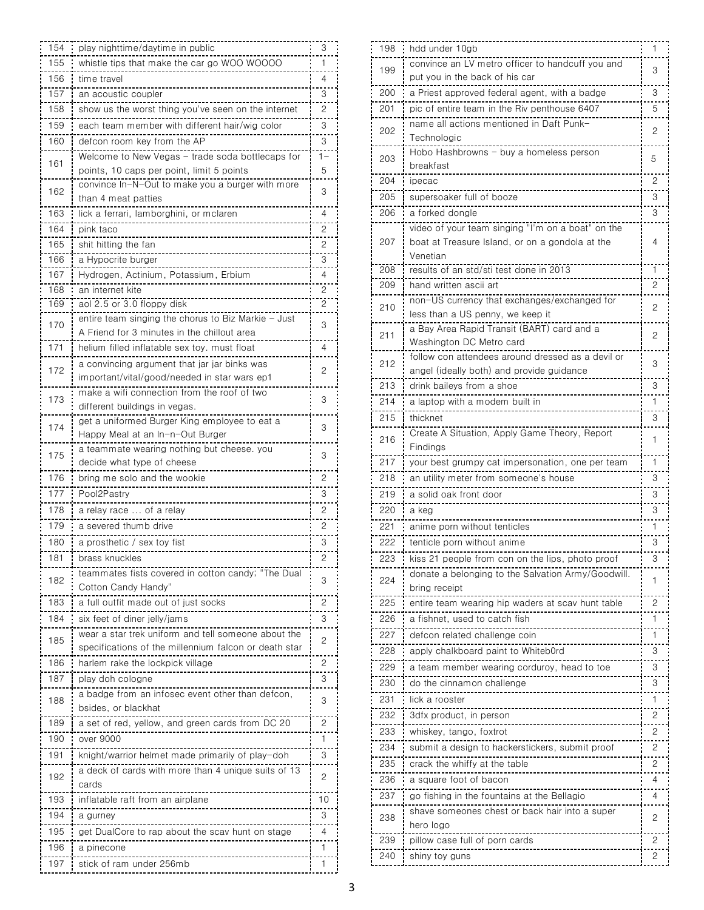| 154 | play nighttime/daytime in public                                                              | 3              |
|-----|-----------------------------------------------------------------------------------------------|----------------|
| 155 | whistle tips that make the car go WOO WOOOO                                                   | 1              |
| 156 | time travel                                                                                   | 4              |
| 157 | an acoustic coupler                                                                           | 3              |
| 158 | show us the worst thing you've seen on the internet                                           | 2              |
| 159 | each team member with different hair/wig color                                                | 3              |
|     |                                                                                               |                |
| 160 | defcon room key from the AP                                                                   | 3              |
| 161 | Welcome to New Vegas - trade soda bottlecaps for<br>points, 10 caps per point, limit 5 points | 1-<br>5        |
|     | convince In-N-Out to make you a burger with more                                              |                |
| 162 | than 4 meat patties                                                                           | 3              |
| 163 | lick a ferrari, lamborghini, or mclaren                                                       | 4              |
| 164 | pink taco                                                                                     | $\overline{c}$ |
| 165 | shit hitting the fan                                                                          | 2              |
| 166 | a Hypocrite burger                                                                            | З              |
| 167 | Hydrogen, Actinium, Potassium, Erbium                                                         | 4              |
| 168 | an internet kite                                                                              | 2              |
| 169 | aol 2.5 or 3.0 floppy disk                                                                    | 2              |
|     | entire team singing the chorus to Biz Markie - Just                                           |                |
| 170 | A Friend for 3 minutes in the chillout area                                                   | 3              |
| 171 | helium filled inflatable sex toy. must float                                                  | 4              |
|     | a convincing argument that jar jar binks was                                                  |                |
| 172 | important/vital/good/needed in star wars ep1                                                  | 2              |
|     | make a wifi connection from the roof of two                                                   |                |
| 173 | different buildings in vegas.                                                                 | 3              |
| 174 | get a uniformed Burger King employee to eat a                                                 | 3              |
|     | Happy Meal at an In-n-Out Burger                                                              |                |
| 175 | a teammate wearing nothing but cheese. you                                                    | 3              |
|     | decide what type of cheese                                                                    |                |
| 176 | bring me solo and the wookie                                                                  | 2              |
| 177 | Pool2Pastry                                                                                   | 3              |
| 178 | a relav race  of a relav                                                                      | 2              |
| 179 | a severed thumb drive                                                                         | 2              |
| 180 | a prosthetic / sex toy tist                                                                   | 3              |
| 181 | brass knuckles                                                                                | 2              |
| 182 | teammates fists covered in cotton candy; "The Dual                                            | 3              |
|     | Cotton Candy Handy"                                                                           |                |
| 183 | a full outfit made out of just socks                                                          | 2              |
| 184 | six teet ot diner jelly/jams                                                                  | 3              |
| 185 | wear a star trek uniform and tell someone about the                                           | 2              |
|     | specifications of the millennium falcon or death star                                         |                |
| 186 | harlem rake the lockpick village                                                              | 2              |
| 187 | play doh cologne                                                                              | 3              |
| 188 | a badge from an infosec event other than defcon,                                              | 3              |
|     | bsides, or blackhat                                                                           |                |
| 189 | a set ot red, yellow, and green cards from DC 20                                              | 2              |
| 190 | over 9000                                                                                     | 1              |
| 191 | knight/warrior helmet made primarily of play-doh                                              | 3              |
| 192 | a deck of cards with more than 4 unique suits of 13                                           | 2              |
|     | cards                                                                                         |                |
| 193 | intlatable raft from an airplane                                                              | 10             |
| 194 | a gurney                                                                                      | 3              |
| 195 | get DualCore to rap about the scav hunt on stage                                              | 4              |
| 196 | a pinecone                                                                                    | 1              |
| 197 | stick of ram under 256mb                                                                      | 1              |
|     |                                                                                               |                |

| 198 | hdd under 10gb                                     | 1 |
|-----|----------------------------------------------------|---|
| 199 | convince an LV metro officer to handcuff you and   |   |
|     | put you in the back of his car                     | 3 |
| 200 | a Priest approved federal agent, with a badge      | 3 |
| 201 | pic of entire team in the Riv penthouse 6407       | 5 |
|     | name all actions mentioned in Daft Punk-           |   |
| 202 | Technologic                                        | 2 |
| 203 | Hobo Hashbrowns - buy a homeless person            | 5 |
|     | breakfast                                          |   |
| 204 | ipecac                                             | 2 |
| 205 | supersoaker full of booze                          | 3 |
| 206 | a forked dongle                                    | 3 |
|     | video of your team singing "I'm on a boat" on the  |   |
| 207 | boat at Treasure Island, or on a gondola at the    | 4 |
|     | Venetian                                           |   |
| 208 | results of an std/sti test done in 2013            | 1 |
| 209 | hand written ascii art                             | 2 |
| 210 | non-US currency that exchanges/exchanged for       | 2 |
|     | less than a US penny, we keep it                   |   |
| 211 | a Bay Area Rapid Transit (BART) card and a         | 2 |
|     | Washington DC Metro card                           |   |
| 212 | follow con attendees around dressed as a devil or  | 3 |
|     | angel (ideally both) and provide guidance          |   |
| 213 | drink bailevs from a shoe                          | 3 |
| 214 | a laptop with a modem built in                     | 1 |
| 215 | thicknet                                           | 3 |
| 216 | Create A Situation, Apply Game Theory, Report      | 1 |
|     | Findings                                           |   |
| 217 | your best grumpy cat impersonation, one per team   | 1 |
| 218 | an utility meter from someone's house              | 3 |
| 219 | a solid oak front door                             | 3 |
| 220 | a keg                                              | 3 |
| 221 | anime porn without tenticles                       | 1 |
| 222 | tenticle porn without anime                        | 3 |
| 223 | kiss 21 people from con on the lips, photo proof   | 3 |
|     | donate a belonging to the Salvation Army/Goodwill. |   |
| 224 | bring receipt                                      | 1 |
| 225 | entire team wearing hip waders at scav hunt table  | 2 |
| 226 | a fishnet, used to catch fish<br>---------         | 1 |
| 227 | defcon related challenge coin                      | 1 |
| 228 | apply chalkboard paint to Whiteb0rd                | 3 |
| 229 | a team member wearing corduroy, head to toe        | 3 |
| 230 | do the cinnamon challenge                          | 3 |
| 231 | -------------<br>lick a rooster                    | 1 |
| 232 | ---------------<br>3dfx product, in person         | 2 |
| 233 |                                                    | 2 |
|     | whiskey, tango, foxtrot                            |   |
| 234 | submit a design to hackerstickers, submit proof    | 2 |
| 235 | crack the whiffy at the table                      | 2 |
| 236 | a square foot of bacon<br>.                        | 4 |
| 237 | go fishing in the fountains at the Bellagio        | 4 |
| 238 | shave someones chest or back hair into a super     | 2 |
|     | hero logo                                          |   |
| 239 | pillow case full of porn cards                     | 2 |
| 240 | shiny toy guns                                     | 2 |